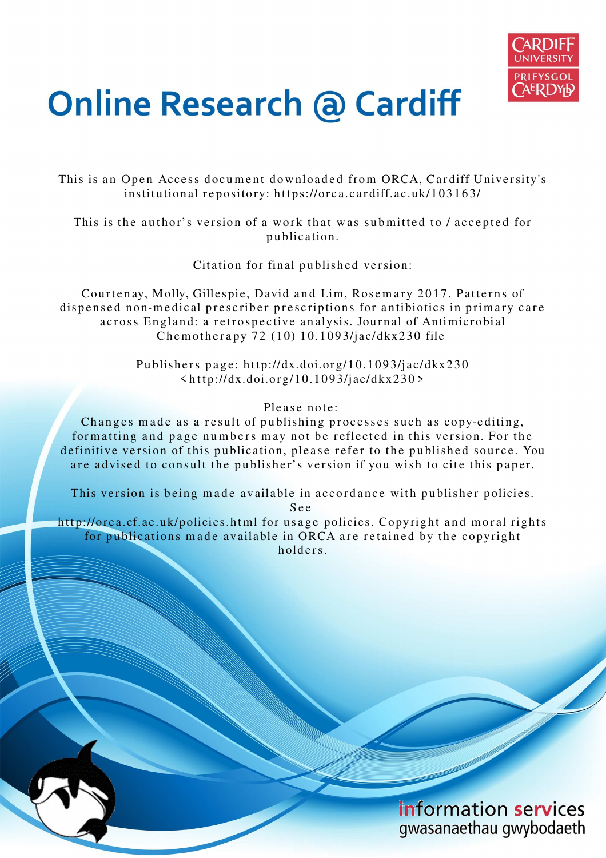

# **Online Research @ Cardiff**

This is an Open Access document downloaded from ORCA, Cardiff University's institutional repository: https://orca.cardiff.ac.uk/103163/

This is the author's version of a work that was submitted to / accepted for p u blication.

Citation for final published version:

Courtenay, Molly, Gillespie, David and Lim, Rosemary 2017. Patterns of dispensed non-medical prescriber prescriptions for antibiotics in primary care across England: a retrospective analysis. Journal of Antimicrobial Chemotherapy 72 (10)  $10.1093/jac/dkx230$  file

> Publishers page: http://dx.doi.org/10.1093/jac/dkx230  $\langle http:}/dx.doi.org/10.1093/iac/dkx230\rangle$

> > Please note:

Changes made as a result of publishing processes such as copy-editing, formatting and page numbers may not be reflected in this version. For the definitive version of this publication, please refer to the published source. You are advised to consult the publisher's version if you wish to cite this paper.

This version is being made available in accordance with publisher policies.

S e e

http://orca.cf.ac.uk/policies.html for usage policies. Copyright and moral rights for publications made available in ORCA are retained by the copyright holders



information services gwasanaethau gwybodaeth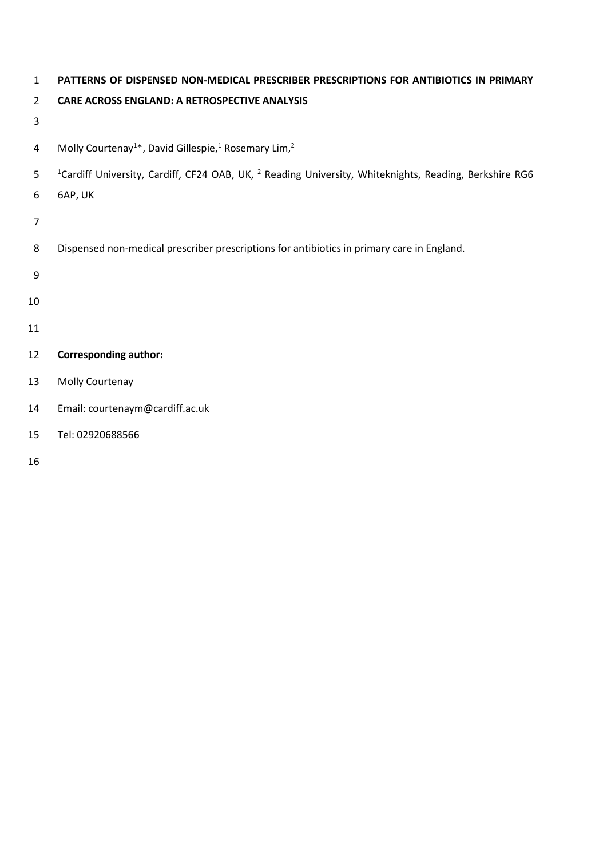| $\mathbf{1}$   | PATTERNS OF DISPENSED NON-MEDICAL PRESCRIBER PRESCRIPTIONS FOR ANTIBIOTICS IN PRIMARY                                         |  |  |  |  |  |
|----------------|-------------------------------------------------------------------------------------------------------------------------------|--|--|--|--|--|
| $\overline{2}$ | <b>CARE ACROSS ENGLAND: A RETROSPECTIVE ANALYSIS</b>                                                                          |  |  |  |  |  |
| 3              |                                                                                                                               |  |  |  |  |  |
| 4              | Molly Courtenay <sup>1*</sup> , David Gillespie, <sup>1</sup> Rosemary Lim, <sup>2</sup>                                      |  |  |  |  |  |
| 5              | <sup>1</sup> Cardiff University, Cardiff, CF24 OAB, UK, <sup>2</sup> Reading University, Whiteknights, Reading, Berkshire RG6 |  |  |  |  |  |
| 6              | 6AP, UK                                                                                                                       |  |  |  |  |  |
| $\overline{7}$ |                                                                                                                               |  |  |  |  |  |
| 8              | Dispensed non-medical prescriber prescriptions for antibiotics in primary care in England.                                    |  |  |  |  |  |
| 9              |                                                                                                                               |  |  |  |  |  |
| 10             |                                                                                                                               |  |  |  |  |  |
| 11             |                                                                                                                               |  |  |  |  |  |
| 12             | <b>Corresponding author:</b>                                                                                                  |  |  |  |  |  |
| 13             | Molly Courtenay                                                                                                               |  |  |  |  |  |
| 14             | Email: courtenaym@cardiff.ac.uk                                                                                               |  |  |  |  |  |
| 15             | Tel: 02920688566                                                                                                              |  |  |  |  |  |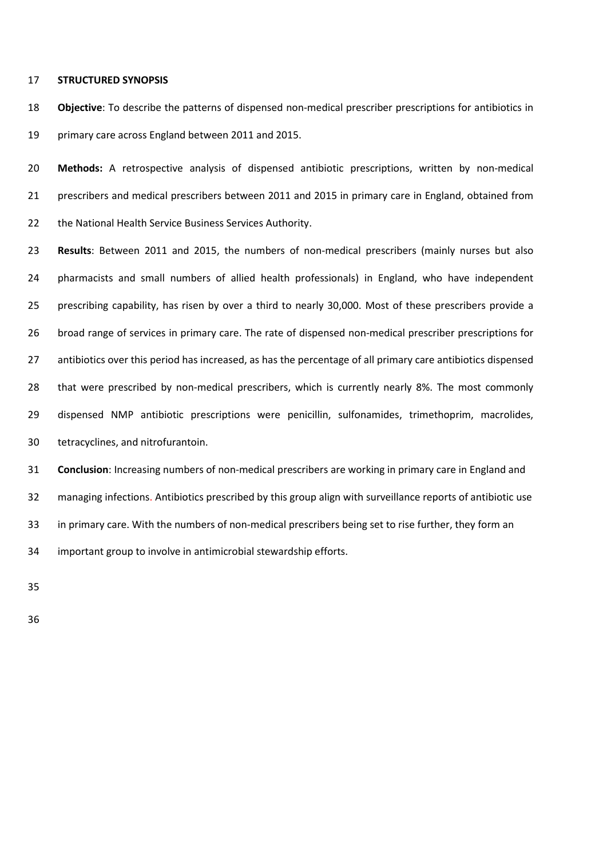#### **STRUCTURED SYNOPSIS**

 **Objective**: To describe the patterns of dispensed non-medical prescriber prescriptions for antibiotics in primary care across England between 2011 and 2015.

 **Methods:** A retrospective analysis of dispensed antibiotic prescriptions, written by non-medical prescribers and medical prescribers between 2011 and 2015 in primary care in England, obtained from the National Health Service Business Services Authority.

 **Results**: Between 2011 and 2015, the numbers of non-medical prescribers (mainly nurses but also pharmacists and small numbers of allied health professionals) in England, who have independent prescribing capability, has risen by over a third to nearly 30,000. Most of these prescribers provide a broad range of services in primary care. The rate of dispensed non-medical prescriber prescriptions for antibiotics over this period has increased, as has the percentage of all primary care antibiotics dispensed that were prescribed by non-medical prescribers, which is currently nearly 8%. The most commonly dispensed NMP antibiotic prescriptions were penicillin, sulfonamides, trimethoprim, macrolides, tetracyclines, and nitrofurantoin.

 **Conclusion**: Increasing numbers of non-medical prescribers are working in primary care in England and managing infections. Antibiotics prescribed by this group align with surveillance reports of antibiotic use in primary care. With the numbers of non-medical prescribers being set to rise further, they form an important group to involve in antimicrobial stewardship efforts.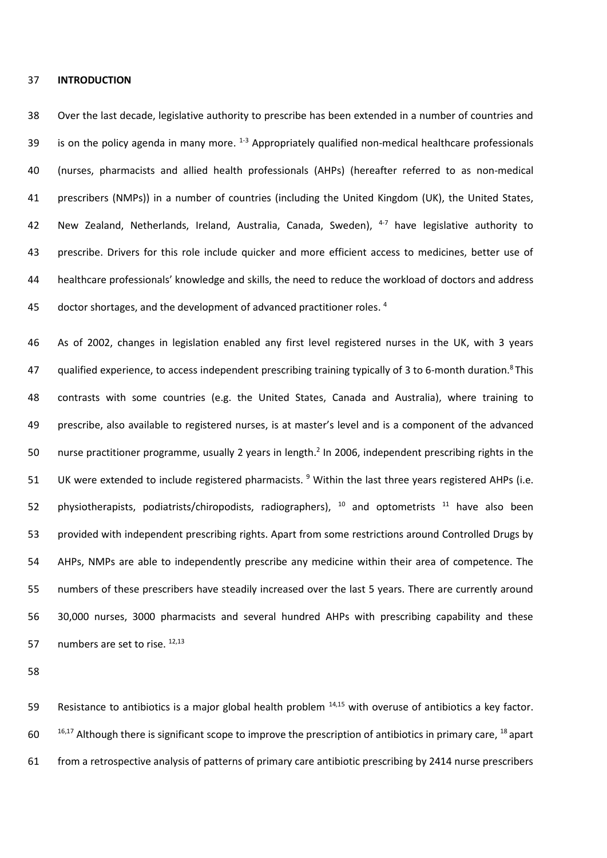#### 37 **INTRODUCTION**

38 Over the last decade, legislative authority to prescribe has been extended in a number of countries and 39 is on the policy agenda in many more.  $1-3$  Appropriately qualified non-medical healthcare professionals 40 (nurses, pharmacists and allied health professionals (AHPs) (hereafter referred to as non-medical 41 prescribers (NMPs)) in a number of countries (including the United Kingdom (UK), the United States, 42 New Zealand, Netherlands, Ireland, Australia, Canada, Sweden), <sup>4-7</sup> have legislative authority to 43 prescribe. Drivers for this role include quicker and more efficient access to medicines, better use of 44 healthcare professionals' knowledge and skills, the need to reduce the workload of doctors and address 45 doctor shortages, and the development of advanced practitioner roles. 4

46 As of 2002, changes in legislation enabled any first level registered nurses in the UK, with 3 years 47 qualified experience, to access independent prescribing training typically of 3 to 6-month duration.<sup>8</sup> This 48 contrasts with some countries (e.g. the United States, Canada and Australia), where training to 49 prescribe, also available to registered nurses, is at master's level and is a component of the advanced 50 nurse practitioner programme, usually 2 years in length.<sup>2</sup> In 2006, independent prescribing rights in the 51 UK were extended to include registered pharmacists. <sup>9</sup> Within the last three years registered AHPs (i.e. 52 physiotherapists, podiatrists/chiropodists, radiographers),  $10$  and optometrists  $11$  have also been 53 provided with independent prescribing rights. Apart from some restrictions around Controlled Drugs by 54 AHPs, NMPs are able to independently prescribe any medicine within their area of competence. The 55 numbers of these prescribers have steadily increased over the last 5 years. There are currently around 56 30,000 nurses, 3000 pharmacists and several hundred AHPs with prescribing capability and these 57 numbers are set to rise.  $12,13$ 

58

59 Resistance to antibiotics is a major global health problem  $14,15$  with overuse of antibiotics a key factor.  $16,17$  Although there is significant scope to improve the prescription of antibiotics in primary care, <sup>18</sup> apart 61 from a retrospective analysis of patterns of primary care antibiotic prescribing by 2414 nurse prescribers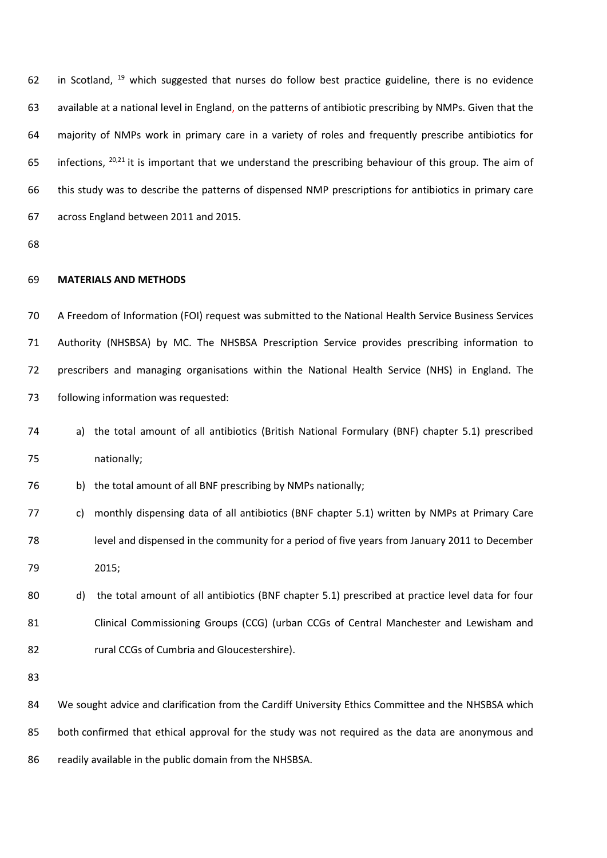62 in Scotland, which suggested that nurses do follow best practice guideline, there is no evidence available at a national level in England, on the patterns of antibiotic prescribing by NMPs. Given that the majority of NMPs work in primary care in a variety of roles and frequently prescribe antibiotics for 65 infections,  $20,21$  it is important that we understand the prescribing behaviour of this group. The aim of this study was to describe the patterns of dispensed NMP prescriptions for antibiotics in primary care across England between 2011 and 2015.

## **MATERIALS AND METHODS**

 A Freedom of Information (FOI) request was submitted to the National Health Service Business Services Authority (NHSBSA) by MC. The NHSBSA Prescription Service provides prescribing information to prescribers and managing organisations within the National Health Service (NHS) in England. The following information was requested:

 a) the total amount of all antibiotics (British National Formulary (BNF) chapter 5.1) prescribed nationally;

b) the total amount of all BNF prescribing by NMPs nationally;

- c) monthly dispensing data of all antibiotics (BNF chapter 5.1) written by NMPs at Primary Care level and dispensed in the community for a period of five years from January 2011 to December 2015;
- 80 d) the total amount of all antibiotics (BNF chapter 5.1) prescribed at practice level data for four 81 Clinical Commissioning Groups (CCG) (urban CCGs of Central Manchester and Lewisham and 82 rural CCGs of Cumbria and Gloucestershire).

84 We sought advice and clarification from the Cardiff University Ethics Committee and the NHSBSA which both confirmed that ethical approval for the study was not required as the data are anonymous and readily available in the public domain from the NHSBSA.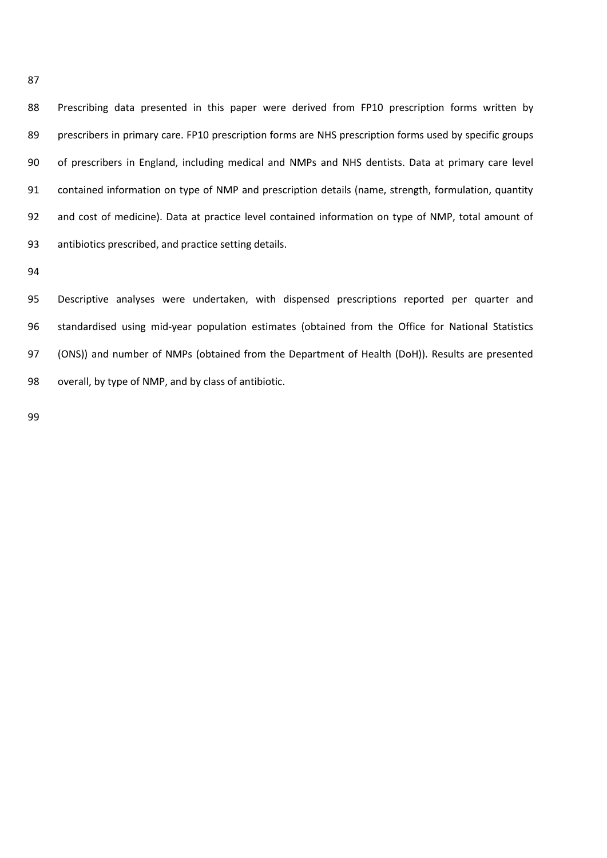Prescribing data presented in this paper were derived from FP10 prescription forms written by 89 prescribers in primary care. FP10 prescription forms are NHS prescription forms used by specific groups of prescribers in England, including medical and NMPs and NHS dentists. Data at primary care level contained information on type of NMP and prescription details (name, strength, formulation, quantity and cost of medicine). Data at practice level contained information on type of NMP, total amount of antibiotics prescribed, and practice setting details.

 Descriptive analyses were undertaken, with dispensed prescriptions reported per quarter and standardised using mid-year population estimates (obtained from the Office for National Statistics (ONS)) and number of NMPs (obtained from the Department of Health (DoH)). Results are presented overall, by type of NMP, and by class of antibiotic.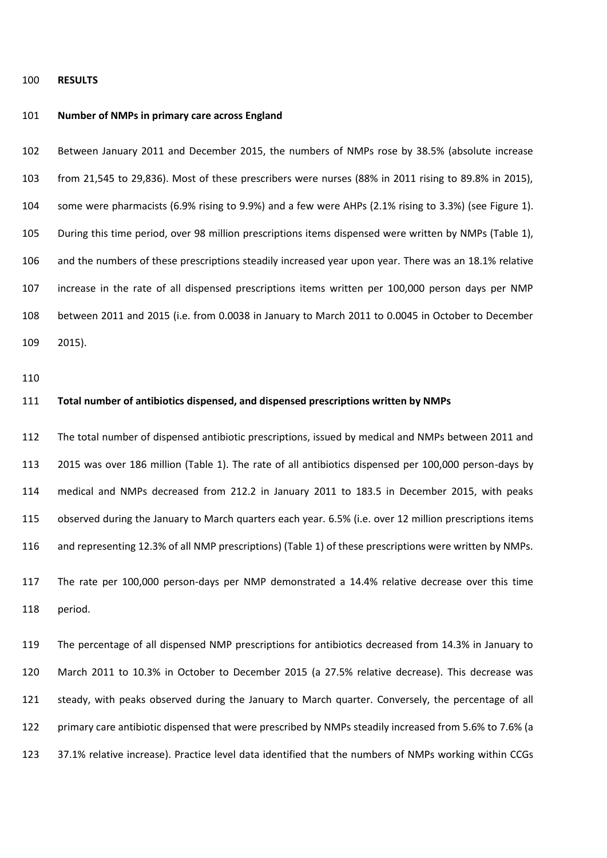#### **RESULTS**

### **Number of NMPs in primary care across England**

 Between January 2011 and December 2015, the numbers of NMPs rose by 38.5% (absolute increase from 21,545 to 29,836). Most of these prescribers were nurses (88% in 2011 rising to 89.8% in 2015), some were pharmacists (6.9% rising to 9.9%) and a few were AHPs (2.1% rising to 3.3%) (see Figure 1). During this time period, over 98 million prescriptions items dispensed were written by NMPs (Table 1), and the numbers of these prescriptions steadily increased year upon year. There was an 18.1% relative increase in the rate of all dispensed prescriptions items written per 100,000 person days per NMP between 2011 and 2015 (i.e. from 0.0038 in January to March 2011 to 0.0045 in October to December 2015).

## **Total number of antibiotics dispensed, and dispensed prescriptions written by NMPs**

 The total number of dispensed antibiotic prescriptions, issued by medical and NMPs between 2011 and 2015 was over 186 million (Table 1). The rate of all antibiotics dispensed per 100,000 person-days by medical and NMPs decreased from 212.2 in January 2011 to 183.5 in December 2015, with peaks observed during the January to March quarters each year. 6.5% (i.e. over 12 million prescriptions items and representing 12.3% of all NMP prescriptions) (Table 1) of these prescriptions were written by NMPs. The rate per 100,000 person-days per NMP demonstrated a 14.4% relative decrease over this time

period.

 The percentage of all dispensed NMP prescriptions for antibiotics decreased from 14.3% in January to March 2011 to 10.3% in October to December 2015 (a 27.5% relative decrease). This decrease was steady, with peaks observed during the January to March quarter. Conversely, the percentage of all primary care antibiotic dispensed that were prescribed by NMPs steadily increased from 5.6% to 7.6% (a 37.1% relative increase). Practice level data identified that the numbers of NMPs working within CCGs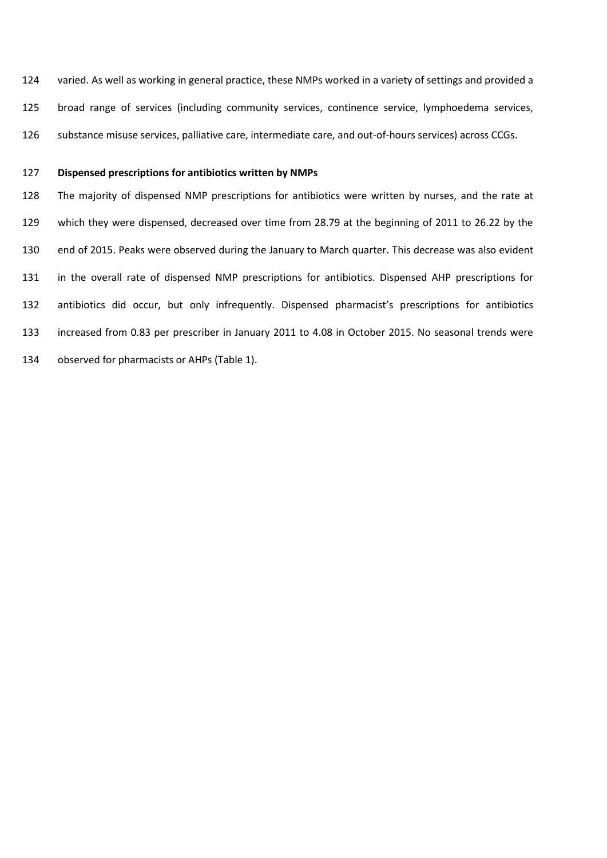varied. As well as working in general practice, these NMPs worked in a variety of settings and provided a broad range of services (including community services, continence service, lymphoedema services, substance misuse services, palliative care, intermediate care, and out-of-hours services) across CCGs.

# **Dispensed prescriptions for antibiotics written by NMPs**

 The majority of dispensed NMP prescriptions for antibiotics were written by nurses, and the rate at which they were dispensed, decreased over time from 28.79 at the beginning of 2011 to 26.22 by the end of 2015. Peaks were observed during the January to March quarter. This decrease was also evident in the overall rate of dispensed NMP prescriptions for antibiotics. Dispensed AHP prescriptions for antibiotics did occur, but only infrequently. Dispensed pharmacist's prescriptions for antibiotics increased from 0.83 per prescriber in January 2011 to 4.08 in October 2015. No seasonal trends were observed for pharmacists or AHPs (Table 1).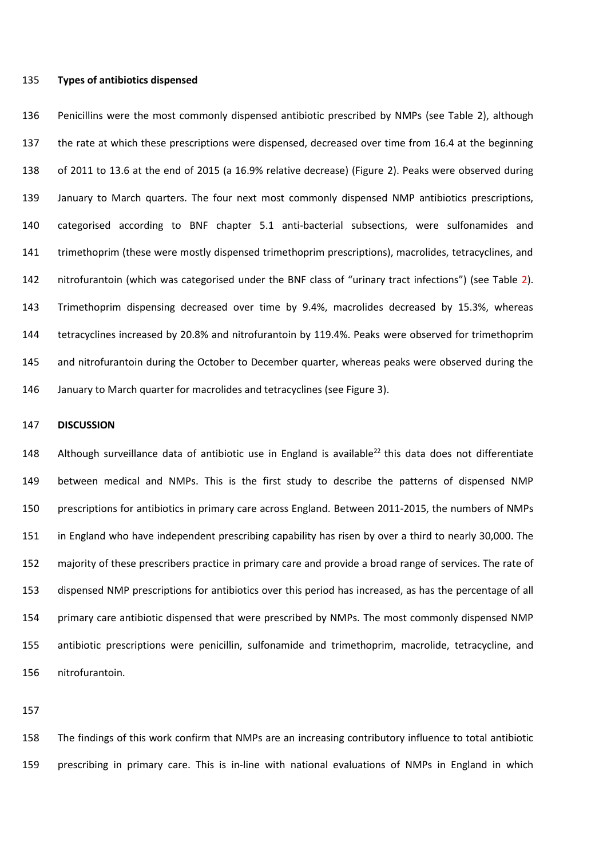#### **Types of antibiotics dispensed**

 Penicillins were the most commonly dispensed antibiotic prescribed by NMPs (see Table 2), although the rate at which these prescriptions were dispensed, decreased over time from 16.4 at the beginning of 2011 to 13.6 at the end of 2015 (a 16.9% relative decrease) (Figure 2). Peaks were observed during January to March quarters. The four next most commonly dispensed NMP antibiotics prescriptions, categorised according to BNF chapter 5.1 anti-bacterial subsections, were sulfonamides and 141 trimethoprim (these were mostly dispensed trimethoprim prescriptions), macrolides, tetracyclines, and nitrofurantoin (which was categorised under the BNF class of "urinary tract infections") (see Table 2). Trimethoprim dispensing decreased over time by 9.4%, macrolides decreased by 15.3%, whereas tetracyclines increased by 20.8% and nitrofurantoin by 119.4%. Peaks were observed for trimethoprim and nitrofurantoin during the October to December quarter, whereas peaks were observed during the January to March quarter for macrolides and tetracyclines (see Figure 3).

### **DISCUSSION**

148 Although surveillance data of antibiotic use in England is available<sup>22</sup> this data does not differentiate between medical and NMPs. This is the first study to describe the patterns of dispensed NMP prescriptions for antibiotics in primary care across England. Between 2011-2015, the numbers of NMPs in England who have independent prescribing capability has risen by over a third to nearly 30,000. The majority of these prescribers practice in primary care and provide a broad range of services. The rate of dispensed NMP prescriptions for antibiotics over this period has increased, as has the percentage of all primary care antibiotic dispensed that were prescribed by NMPs. The most commonly dispensed NMP antibiotic prescriptions were penicillin, sulfonamide and trimethoprim, macrolide, tetracycline, and nitrofurantoin.

 The findings of this work confirm that NMPs are an increasing contributory influence to total antibiotic prescribing in primary care. This is in-line with national evaluations of NMPs in England in which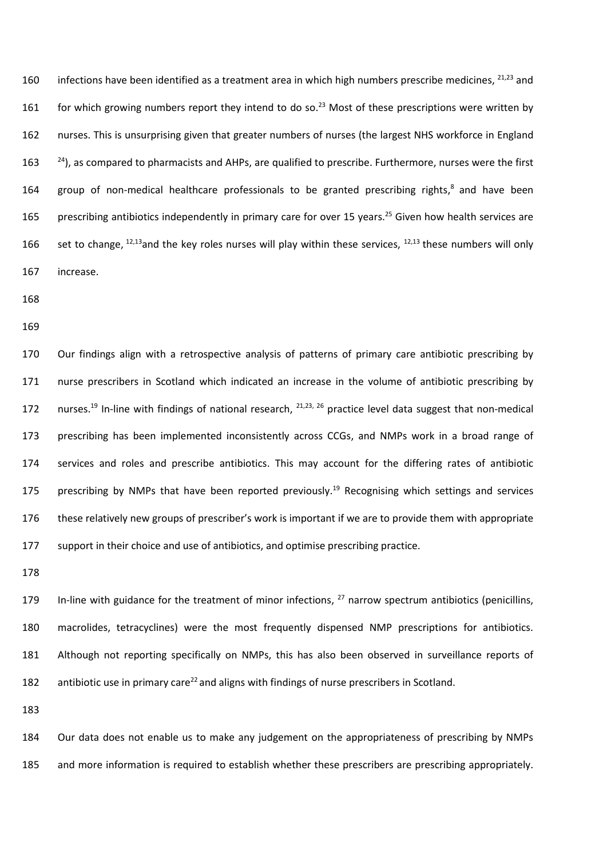160 infections have been identified as a treatment area in which high numbers prescribe medicines,  $21,23$  and 161 for which growing numbers report they intend to do so.<sup>23</sup> Most of these prescriptions were written by nurses. This is unsurprising given that greater numbers of nurses (the largest NHS workforce in England  $^{24}$ ), as compared to pharmacists and AHPs, are qualified to prescribe. Furthermore, nurses were the first 164 group of non-medical healthcare professionals to be granted prescribing rights,<sup>8</sup> and have been 165 prescribing antibiotics independently in primary care for over 15 years.<sup>25</sup> Given how health services are 166 set to change,  $12,13$  and the key roles nurses will play within these services,  $12,13$  these numbers will only increase.

 Our findings align with a retrospective analysis of patterns of primary care antibiotic prescribing by nurse prescribers in Scotland which indicated an increase in the volume of antibiotic prescribing by 172 nurses.<sup>19</sup> In-line with findings of national research,  $21,23,26$  practice level data suggest that non-medical prescribing has been implemented inconsistently across CCGs, and NMPs work in a broad range of services and roles and prescribe antibiotics. This may account for the differing rates of antibiotic 175 prescribing by NMPs that have been reported previously.<sup>19</sup> Recognising which settings and services these relatively new groups of prescriber's work is important if we are to provide them with appropriate 177 support in their choice and use of antibiotics, and optimise prescribing practice.

179 In-line with guidance for the treatment of minor infections, narrow spectrum antibiotics (penicillins, macrolides, tetracyclines) were the most frequently dispensed NMP prescriptions for antibiotics. Although not reporting specifically on NMPs, this has also been observed in surveillance reports of 182 antibiotic use in primary care<sup>22</sup> and aligns with findings of nurse prescribers in Scotland.

 Our data does not enable us to make any judgement on the appropriateness of prescribing by NMPs and more information is required to establish whether these prescribers are prescribing appropriately.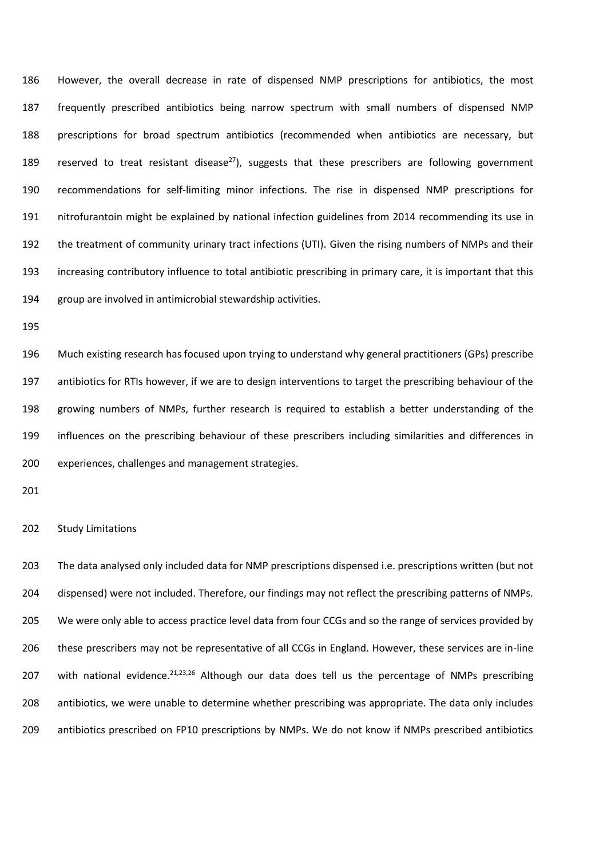However, the overall decrease in rate of dispensed NMP prescriptions for antibiotics, the most frequently prescribed antibiotics being narrow spectrum with small numbers of dispensed NMP prescriptions for broad spectrum antibiotics (recommended when antibiotics are necessary, but 189 reserved to treat resistant disease<sup>27</sup>), suggests that these prescribers are following government recommendations for self-limiting minor infections. The rise in dispensed NMP prescriptions for nitrofurantoin might be explained by national infection guidelines from 2014 recommending its use in the treatment of community urinary tract infections (UTI). Given the rising numbers of NMPs and their increasing contributory influence to total antibiotic prescribing in primary care, it is important that this group are involved in antimicrobial stewardship activities.

 Much existing research has focused upon trying to understand why general practitioners (GPs) prescribe antibiotics for RTIs however, if we are to design interventions to target the prescribing behaviour of the growing numbers of NMPs, further research is required to establish a better understanding of the influences on the prescribing behaviour of these prescribers including similarities and differences in experiences, challenges and management strategies.

## Study Limitations

 The data analysed only included data for NMP prescriptions dispensed i.e. prescriptions written (but not dispensed) were not included. Therefore, our findings may not reflect the prescribing patterns of NMPs. We were only able to access practice level data from four CCGs and so the range of services provided by these prescribers may not be representative of all CCGs in England. However, these services are in-line 207 with national evidence.<sup>21,23,26</sup> Although our data does tell us the percentage of NMPs prescribing antibiotics, we were unable to determine whether prescribing was appropriate. The data only includes antibiotics prescribed on FP10 prescriptions by NMPs. We do not know if NMPs prescribed antibiotics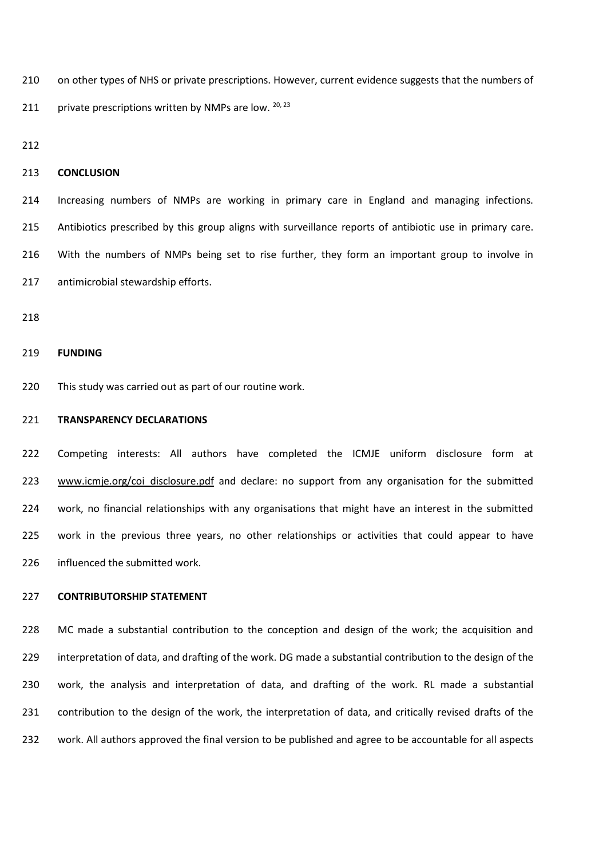210 on other types of NHS or private prescriptions. However, current evidence suggests that the numbers of

211 private prescriptions written by NMPs are low.  $20, 23$ 

## **CONCLUSION**

 Increasing numbers of NMPs are working in primary care in England and managing infections. Antibiotics prescribed by this group aligns with surveillance reports of antibiotic use in primary care. With the numbers of NMPs being set to rise further, they form an important group to involve in antimicrobial stewardship efforts.

# **FUNDING**

This study was carried out as part of our routine work.

#### **TRANSPARENCY DECLARATIONS**

222 Competing interests: All authors have completed the ICMJE uniform disclosure form at [www.icmje.org/coi\\_disclosure.pdf](http://www.icmje.org/coi_disclosure.pdf) and declare: no support from any organisation for the submitted work, no financial relationships with any organisations that might have an interest in the submitted work in the previous three years, no other relationships or activities that could appear to have influenced the submitted work.

# **CONTRIBUTORSHIP STATEMENT**

228 MC made a substantial contribution to the conception and design of the work; the acquisition and interpretation of data, and drafting of the work. DG made a substantial contribution to the design of the work, the analysis and interpretation of data, and drafting of the work. RL made a substantial contribution to the design of the work, the interpretation of data, and critically revised drafts of the work. All authors approved the final version to be published and agree to be accountable for all aspects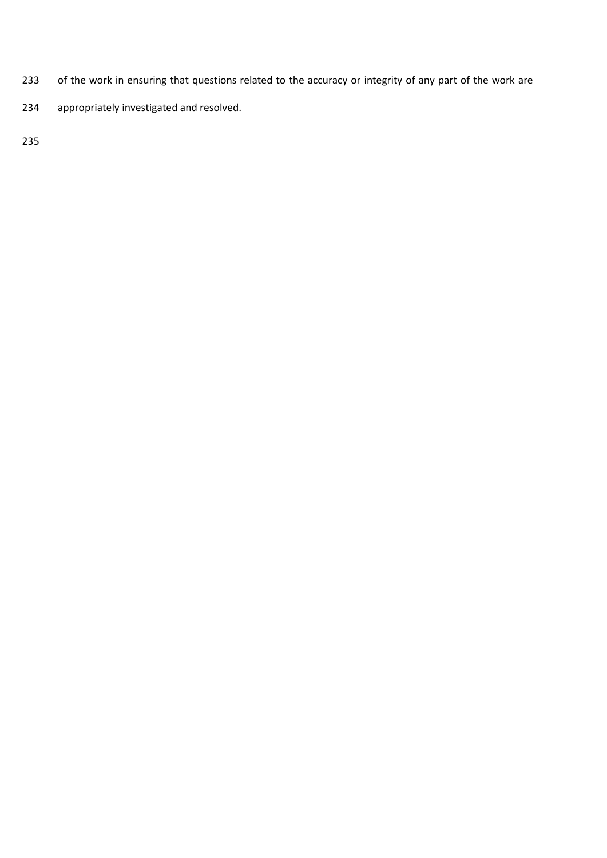- 233 of the work in ensuring that questions related to the accuracy or integrity of any part of the work are
- appropriately investigated and resolved.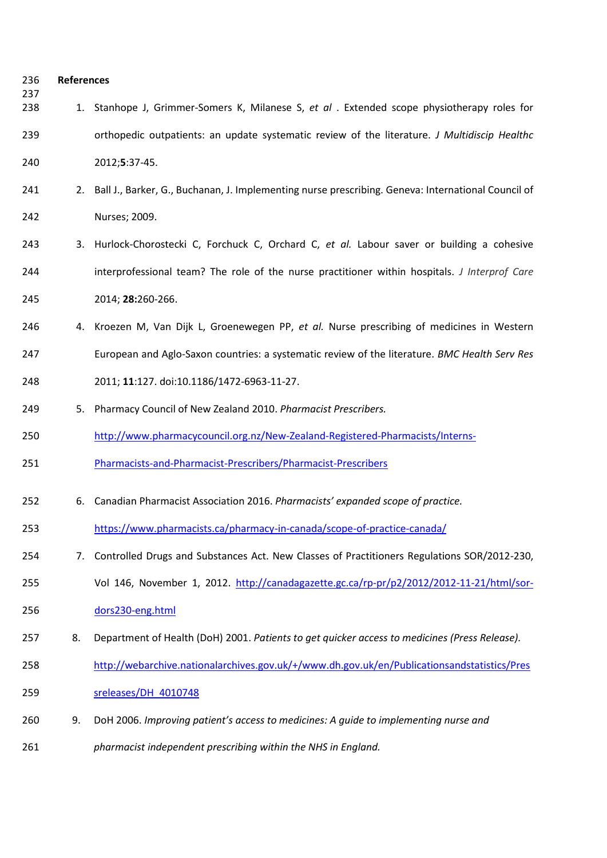**References** 

- 1. Stanhope J, Grimmer-Somers K, Milanese S, *et al* . Extended scope physiotherapy roles for orthopedic outpatients: an update systematic review of the literature. *J Multidiscip Healthc* 2012;**5**:37-45.
- 241 2. Ball J., Barker, G., Buchanan, J. Implementing nurse prescribing. Geneva: International Council of Nurses; 2009.
- 3. Hurlock-Chorostecki C, Forchuck C, Orchard C, *et al.* Labour saver or building a cohesive interprofessional team? The role of the nurse practitioner within hospitals. *J Interprof Care* 2014; **28:**260-266.
- 4. Kroezen M, Van Dijk L, Groenewegen PP, *et al.* Nurse prescribing of medicines in Western European and Aglo-Saxon countries: a systematic review of the literature. *BMC Health Serv Res* 2011; **11**:127. doi:10.1186/1472-6963-11-27.
- 5. Pharmacy Council of New Zealand 2010. *Pharmacist Prescribers.*
- [http://www.pharmacycouncil.org.nz/New-Zealand-Registered-Pharmacists/Interns-](http://www.pharmacycouncil.org.nz/New-Zealand-Registered-Pharmacists/Interns-Pharmacists-and-Pharmacist-Prescribers/Pharmacist-Prescribers)
- [Pharmacists-and-Pharmacist-Prescribers/Pharmacist-Prescribers](http://www.pharmacycouncil.org.nz/New-Zealand-Registered-Pharmacists/Interns-Pharmacists-and-Pharmacist-Prescribers/Pharmacist-Prescribers)
- 6. Canadian Pharmacist Association 2016. *Pharmacists' expanded scope of practice.*
- <https://www.pharmacists.ca/pharmacy-in-canada/scope-of-practice-canada/>
- 7. Controlled Drugs and Substances Act. New Classes of Practitioners Regulations SOR/2012-230,
- Vol 146, November 1, 2012. [http://canadagazette.gc.ca/rp-pr/p2/2012/2012-11-21/html/sor-](http://canadagazette.gc.ca/rp-pr/p2/2012/2012-11-21/html/sor-dors230-eng.html)
- [dors230-eng.html](http://canadagazette.gc.ca/rp-pr/p2/2012/2012-11-21/html/sor-dors230-eng.html)
- 8. Department of Health (DoH) 2001. *Patients to get quicker access to medicines (Press Release).*
- [http://webarchive.nationalarchives.gov.uk/+/www.dh.gov.uk/en/Publicationsandstatistics/Pres](http://webarchive.nationalarchives.gov.uk/+/www.dh.gov.uk/en/Publicationsandstatistics/Pressreleases/DH_4010748)
- [sreleases/DH\\_4010748](http://webarchive.nationalarchives.gov.uk/+/www.dh.gov.uk/en/Publicationsandstatistics/Pressreleases/DH_4010748)
- 9. DoH 2006. *Improving patient's access to medicines: A guide to implementing nurse and*
- *pharmacist independent prescribing within the NHS in England.*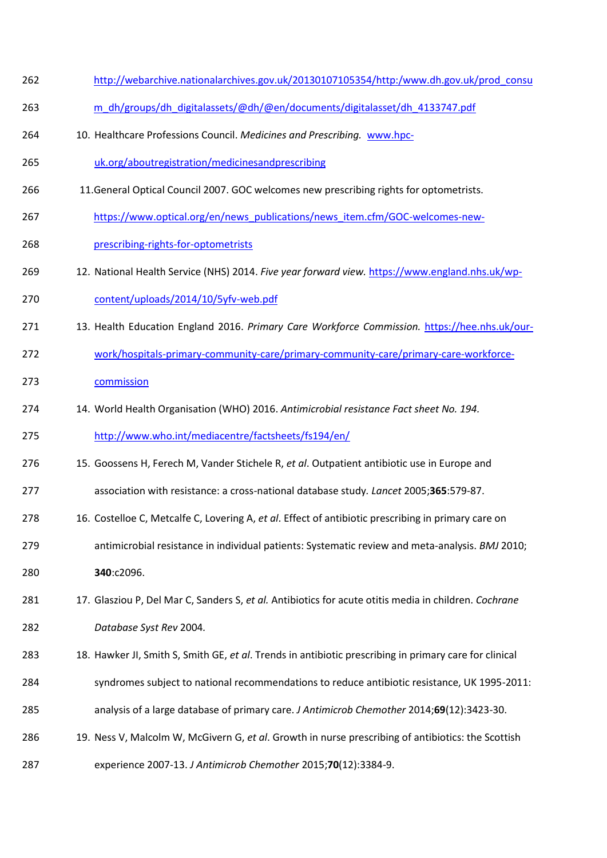- [http://webarchive.nationalarchives.gov.uk/20130107105354/http:/www.dh.gov.uk/prod\\_consu](http://webarchive.nationalarchives.gov.uk/20130107105354/http:/www.dh.gov.uk/prod_consum_dh/groups/dh_digitalassets/@dh/@en/documents/digitalasset/dh_4133747.pdf)
- [m\\_dh/groups/dh\\_digitalassets/@dh/@en/documents/digitalasset/dh\\_4133747.pdf](http://webarchive.nationalarchives.gov.uk/20130107105354/http:/www.dh.gov.uk/prod_consum_dh/groups/dh_digitalassets/@dh/@en/documents/digitalasset/dh_4133747.pdf)
- 10. Healthcare Professions Council. *Medicines and Prescribing.* [www.hpc-](http://www.hpc-uk.org/aboutregistration/medicinesandprescribing)
- [uk.org/aboutregistration/medicinesandprescribing](http://www.hpc-uk.org/aboutregistration/medicinesandprescribing)
- 11.General Optical Council 2007. GOC welcomes new prescribing rights for optometrists.
- [https://www.optical.org/en/news\\_publications/news\\_item.cfm/GOC-welcomes-new-](https://www.optical.org/en/news_publications/news_item.cfm/GOC-welcomes-new-prescribing-rights-for-optometrists)
- [prescribing-rights-for-optometrists](https://www.optical.org/en/news_publications/news_item.cfm/GOC-welcomes-new-prescribing-rights-for-optometrists)
- 12. National Health Service (NHS) 2014. *Five year forward view.* [https://www.england.nhs.uk/wp-](https://www.england.nhs.uk/wp-content/uploads/2014/10/5yfv-web.pdf)[content/uploads/2014/10/5yfv-web.pdf](https://www.england.nhs.uk/wp-content/uploads/2014/10/5yfv-web.pdf)
- 13. Health Education England 2016. *Primary Care Workforce Commission.* [https://hee.nhs.uk/our-](https://hee.nhs.uk/our-work/hospitals-primary-community-care/primary-community-care/primary-care-workforce-commission)
- [work/hospitals-primary-community-care/primary-community-care/primary-care-workforce-](https://hee.nhs.uk/our-work/hospitals-primary-community-care/primary-community-care/primary-care-workforce-commission)[commission](https://hee.nhs.uk/our-work/hospitals-primary-community-care/primary-community-care/primary-care-workforce-commission)
- 14. World Health Organisation (WHO) 2016. *Antimicrobial resistance Fact sheet No. 194.* <http://www.who.int/mediacentre/factsheets/fs194/en/>
- 15. Goossens H, Ferech M, Vander Stichele R, *et al*. Outpatient antibiotic use in Europe and
- association with resistance: a cross-national database study*. Lancet* 2005;**365**:579-87.
- 16. Costelloe C, Metcalfe C, Lovering A, *et al*. Effect of antibiotic prescribing in primary care on
- antimicrobial resistance in individual patients: Systematic review and meta-analysis. *BMJ* 2010; **340**:c2096.
- 17. Glasziou P, Del Mar C, Sanders S, *et al.* Antibiotics for acute otitis media in children. *Cochrane Database Syst Rev* 2004*.*
- 18. [Hawker JI,](http://www.ncbi.nlm.nih.gov/pubmed/?term=Hawker%20JI%5BAuthor%5D&cauthor=true&cauthor_uid=25091508) [Smith S,](http://www.ncbi.nlm.nih.gov/pubmed/?term=Smith%20S%5BAuthor%5D&cauthor=true&cauthor_uid=25091508) [Smith GE,](http://www.ncbi.nlm.nih.gov/pubmed/?term=Smith%20GE%5BAuthor%5D&cauthor=true&cauthor_uid=25091508) *et al*. Trends in antibiotic prescribing in primary care for clinical
- syndromes subject to national recommendations to reduce antibiotic resistance, UK 1995-2011:
- analysis of a large database of primary care. *[J Antimicrob Chemother](http://www.ncbi.nlm.nih.gov/pubmed/?term=Hawker+JI%2C+Smith+S%2C+Smith+GE%2C+et+al.)* 2014;**69**(12):3423-30.
- 19. [Ness V,](http://www.ncbi.nlm.nih.gov/pubmed/?term=Ness%20V%5BAuthor%5D&cauthor=true&cauthor_uid=26311841) [Malcolm W,](http://www.ncbi.nlm.nih.gov/pubmed/?term=Malcolm%20W%5BAuthor%5D&cauthor=true&cauthor_uid=26311841) [McGivern G,](http://www.ncbi.nlm.nih.gov/pubmed/?term=McGivern%20G%5BAuthor%5D&cauthor=true&cauthor_uid=26311841) *[et](http://www.ncbi.nlm.nih.gov/pubmed/?term=Reilly%20J%5BAuthor%5D&cauthor=true&cauthor_uid=26311841) al*. Growth in nurse prescribing of antibiotics: the Scottish experience 2007-13. *[J Antimicrob Chemother](http://www.ncbi.nlm.nih.gov/pubmed/?term=Valerie+Ness1*%2C+William+Malcolm2%2C+Guy+McGivern3+and+Jacqui+Reilly2%2C4)* 2015;**70**(12):3384-9.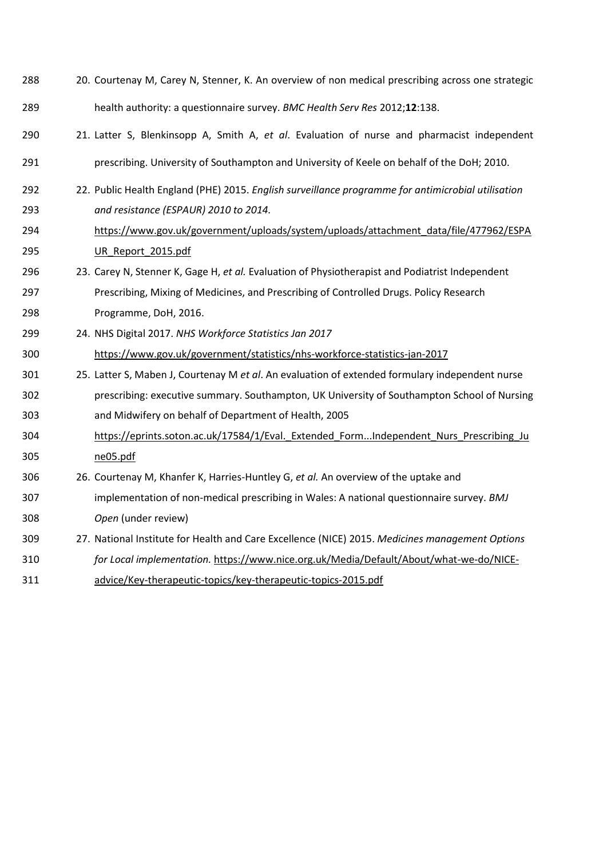| 288 | 20. Courtenay M, Carey N, Stenner, K. An overview of non medical prescribing across one strategic  |
|-----|----------------------------------------------------------------------------------------------------|
| 289 | health authority: a questionnaire survey. BMC Health Serv Res 2012;12:138.                         |
| 290 | 21. Latter S, Blenkinsopp A, Smith A, et al. Evaluation of nurse and pharmacist independent        |
| 291 | prescribing. University of Southampton and University of Keele on behalf of the DoH; 2010.         |
| 292 | 22. Public Health England (PHE) 2015. English surveillance programme for antimicrobial utilisation |
| 293 | and resistance (ESPAUR) 2010 to 2014.                                                              |
| 294 | https://www.gov.uk/government/uploads/system/uploads/attachment_data/file/477962/ESPA              |
| 295 | UR Report 2015.pdf                                                                                 |
| 296 | 23. Carey N, Stenner K, Gage H, et al. Evaluation of Physiotherapist and Podiatrist Independent    |
| 297 | Prescribing, Mixing of Medicines, and Prescribing of Controlled Drugs. Policy Research             |
| 298 | Programme, DoH, 2016.                                                                              |
| 299 | 24. NHS Digital 2017. NHS Workforce Statistics Jan 2017                                            |
| 300 | https://www.gov.uk/government/statistics/nhs-workforce-statistics-jan-2017                         |
| 301 | 25. Latter S, Maben J, Courtenay M et al. An evaluation of extended formulary independent nurse    |
| 302 | prescribing: executive summary. Southampton, UK University of Southampton School of Nursing        |
| 303 | and Midwifery on behalf of Department of Health, 2005                                              |
| 304 | https://eprints.soton.ac.uk/17584/1/Eval. Extended FormIndependent Nurs Prescribing Ju             |
| 305 | ne05.pdf                                                                                           |
| 306 | 26. Courtenay M, Khanfer K, Harries-Huntley G, et al. An overview of the uptake and                |
| 307 | implementation of non-medical prescribing in Wales: A national questionnaire survey. BMJ           |
| 308 | Open (under review)                                                                                |
| 309 | 27. National Institute for Health and Care Excellence (NICE) 2015. Medicines management Options    |
| 310 | for Local implementation. https://www.nice.org.uk/Media/Default/About/what-we-do/NICE-             |
| 311 | advice/Key-therapeutic-topics/key-therapeutic-topics-2015.pdf                                      |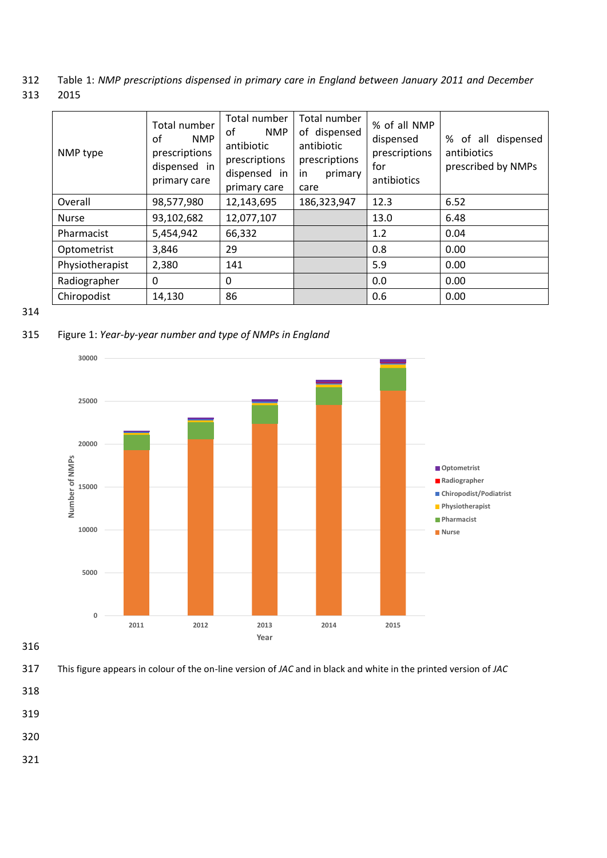312 Table 1: *NMP prescriptions dispensed in primary care in England between January 2011 and December* 313 2015

| NMP type        | Total number<br>οf<br><b>NMP</b><br>prescriptions<br>dispensed in<br>primary care | Total number<br><b>NMP</b><br>οf<br>antibiotic<br>prescriptions<br>dispensed in<br>primary care | Total number<br>of dispensed<br>antibiotic<br>prescriptions<br>in<br>primary<br>care | % of all NMP<br>dispensed<br>prescriptions<br>for<br>antibiotics | % of all dispensed<br>antibiotics<br>prescribed by NMPs |
|-----------------|-----------------------------------------------------------------------------------|-------------------------------------------------------------------------------------------------|--------------------------------------------------------------------------------------|------------------------------------------------------------------|---------------------------------------------------------|
| Overall         | 98,577,980                                                                        | 12,143,695                                                                                      | 186,323,947                                                                          | 12.3                                                             | 6.52                                                    |
| <b>Nurse</b>    | 93,102,682                                                                        | 12,077,107                                                                                      |                                                                                      | 13.0                                                             | 6.48                                                    |
| Pharmacist      | 5,454,942                                                                         | 66,332                                                                                          |                                                                                      | 1.2                                                              | 0.04                                                    |
| Optometrist     | 3,846                                                                             | 29                                                                                              |                                                                                      | 0.8                                                              | 0.00                                                    |
| Physiotherapist | 2,380                                                                             | 141                                                                                             |                                                                                      | 5.9                                                              | 0.00                                                    |
| Radiographer    | $\Omega$                                                                          | $\Omega$                                                                                        |                                                                                      | 0.0                                                              | 0.00                                                    |
| Chiropodist     | 14,130                                                                            | 86                                                                                              |                                                                                      | 0.6                                                              | 0.00                                                    |

315 Figure 1: *Year-by-year number and type of NMPs in England* 



316



- 319
- 320
- 321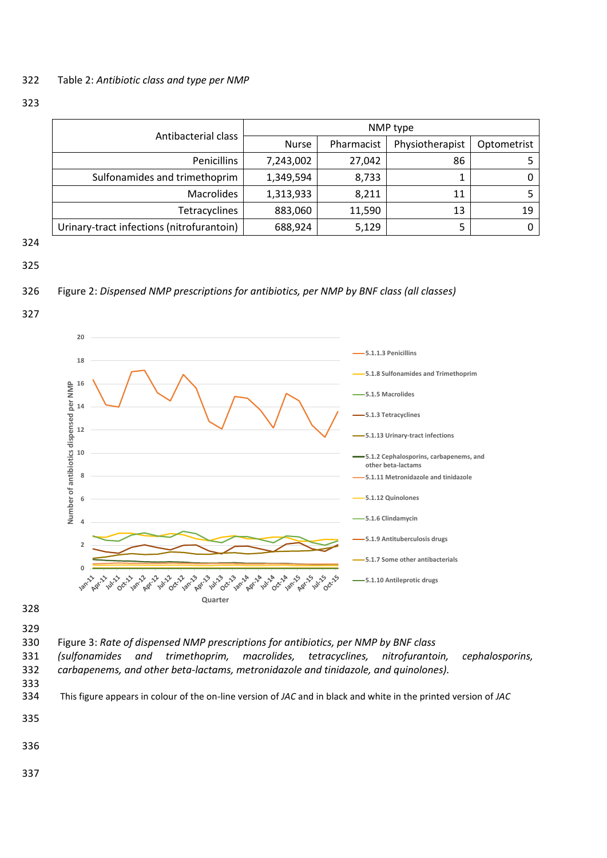# 322 Table 2: *Antibiotic class and type per NMP*

323

|                                           | NMP type     |            |                 |             |  |  |
|-------------------------------------------|--------------|------------|-----------------|-------------|--|--|
| Antibacterial class                       | <b>Nurse</b> | Pharmacist | Physiotherapist | Optometrist |  |  |
| <b>Penicillins</b>                        | 7,243,002    | 27,042     | 86              |             |  |  |
| Sulfonamides and trimethoprim             | 1,349,594    | 8,733      |                 |             |  |  |
| <b>Macrolides</b>                         | 1,313,933    | 8,211      | 11              |             |  |  |
| Tetracyclines                             | 883,060      | 11,590     | 13              | 19          |  |  |
| Urinary-tract infections (nitrofurantoin) | 688,924      | 5,129      |                 |             |  |  |

324

325

# 326 Figure 2: *Dispensed NMP prescriptions for antibiotics, per NMP by BNF class (all classes)*





- 329
- 330 Figure 3: *Rate of dispensed NMP prescriptions for antibiotics, per NMP by BNF class*
- 331 *(sulfonamides and trimethoprim, macrolides, tetracyclines, nitrofurantoin, cephalosporins,*  332 *carbapenems, and other beta-lactams, metronidazole and tinidazole, and quinolones).*
- 333
- 334 This figure appears in colour of the on-line version of *JAC* and in black and white in the printed version of *JAC*
- 335
- 336
- 337